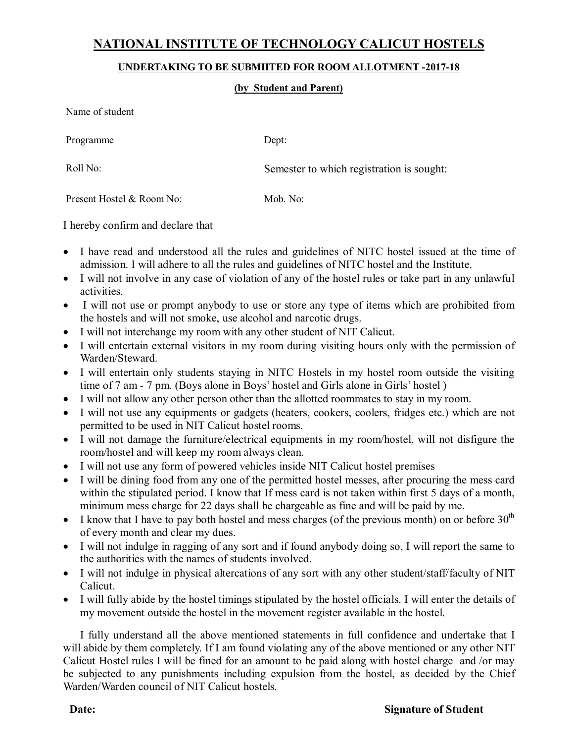## **NATIONAL INSTITUTE OF TECHNOLOGY CALICUT HOSTELS**

## **UNDERTAKING TO BE SUBMIITED FOR ROOM ALLOTMENT -2017-18**

## **(by Student and Parent)**

Name of student

Programme Dept:

Roll No: Semester to which registration is sought:

Present Hostel & Room No: Mob. No:

I hereby confirm and declare that

- I have read and understood all the rules and guidelines of NITC hostel issued at the time of admission. I will adhere to all the rules and guidelines of NITC hostel and the Institute.
- I will not involve in any case of violation of any of the hostel rules or take part in any unlawful activities.
- I will not use or prompt anybody to use or store any type of items which are prohibited from the hostels and will not smoke, use alcohol and narcotic drugs.
- I will not interchange my room with any other student of NIT Calicut.
- I will entertain external visitors in my room during visiting hours only with the permission of Warden/Steward.
- I will entertain only students staying in NITC Hostels in my hostel room outside the visiting time of 7 am - 7 pm. (Boys alone in Boys' hostel and Girls alone in Girls' hostel )
- I will not allow any other person other than the allotted roommates to stay in my room.
- I will not use any equipments or gadgets (heaters, cookers, coolers, fridges etc.) which are not permitted to be used in NIT Calicut hostel rooms.
- I will not damage the furniture/electrical equipments in my room/hostel, will not disfigure the room/hostel and will keep my room always clean.
- I will not use any form of powered vehicles inside NIT Calicut hostel premises
- I will be dining food from any one of the permitted hostel messes, after procuring the mess card within the stipulated period. I know that If mess card is not taken within first 5 days of a month, minimum mess charge for 22 days shall be chargeable as fine and will be paid by me.
- I know that I have to pay both hostel and mess charges (of the previous month) on or before  $30<sup>th</sup>$ of every month and clear my dues.
- I will not indulge in ragging of any sort and if found anybody doing so, I will report the same to the authorities with the names of students involved.
- I will not indulge in physical altercations of any sort with any other student/staff/faculty of NIT Calicut.
- I will fully abide by the hostel timings stipulated by the hostel officials. I will enter the details of my movement outside the hostel in the movement register available in the hostel.

I fully understand all the above mentioned statements in full confidence and undertake that I will abide by them completely. If I am found violating any of the above mentioned or any other NIT Calicut Hostel rules I will be fined for an amount to be paid along with hostel charge and /or may be subjected to any punishments including expulsion from the hostel, as decided by the Chief Warden/Warden council of NIT Calicut hostels.